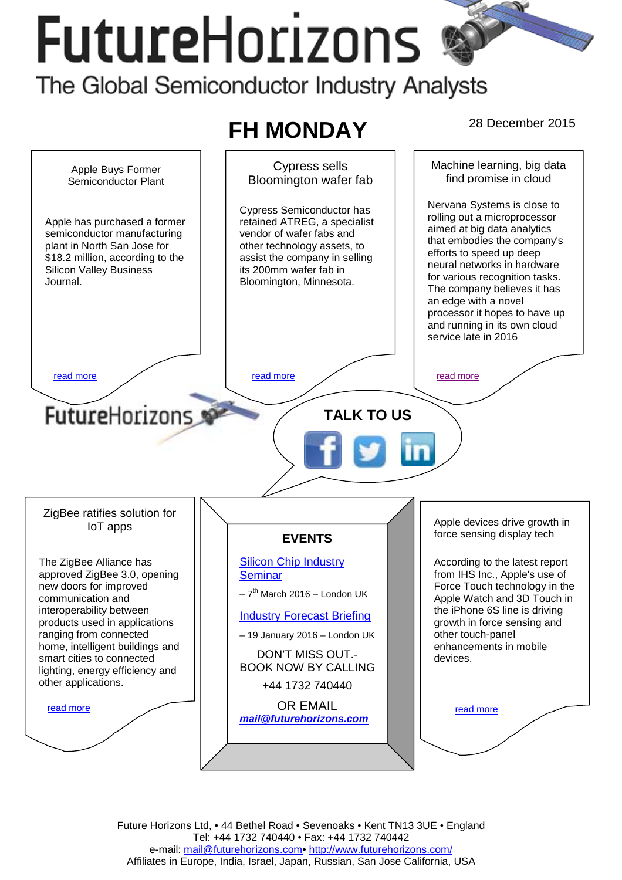# **FutureHorizons**

The Global Semiconductor Industry Analysts





Future Horizons Ltd, • 44 Bethel Road • Sevenoaks • Kent TN13 3UE • England Tel: +44 1732 740440 • Fax: +44 1732 740442 e-mail: mail@futurehorizons.com• http://www.futurehorizons.com/ Affiliates in Europe, India, Israel, Japan, Russian, San Jose California, USA